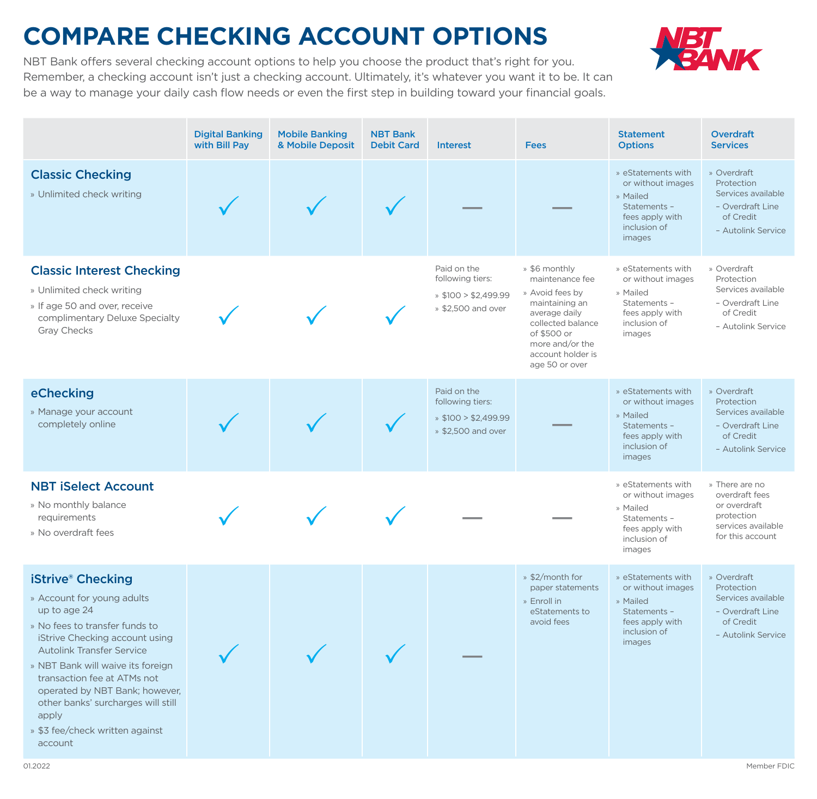## **COMPARE CHECKING ACCOUNT OPTIONS**



NBT Bank offers several checking account options to help you choose the product that's right for you. Remember, a checking account isn't just a checking account. Ultimately, it's whatever you want it to be. It can be a way to manage your daily cash flow needs or even the first step in building toward your financial goals.

|                                                                                                                                                                                                                                                                                                                                                                                              |  | <b>Debit Card</b> | <b>Interest</b>                                                                    | <b>Fees</b>                                                                                                                                                                          | <b>Options</b>                                                                                                   | <b>Services</b>                                                                                                       |
|----------------------------------------------------------------------------------------------------------------------------------------------------------------------------------------------------------------------------------------------------------------------------------------------------------------------------------------------------------------------------------------------|--|-------------------|------------------------------------------------------------------------------------|--------------------------------------------------------------------------------------------------------------------------------------------------------------------------------------|------------------------------------------------------------------------------------------------------------------|-----------------------------------------------------------------------------------------------------------------------|
| <b>Classic Checking</b><br>» Unlimited check writing                                                                                                                                                                                                                                                                                                                                         |  |                   |                                                                                    |                                                                                                                                                                                      | » eStatements with<br>or without images<br>» Mailed<br>Statements -<br>fees apply with<br>inclusion of<br>images | » Overdraft<br>Protection<br>Services available<br>- Overdraft Line<br>of Credit<br>- Autolink Service                |
| <b>Classic Interest Checking</b><br>» Unlimited check writing<br>» If age 50 and over, receive<br>complimentary Deluxe Specialty<br><b>Gray Checks</b>                                                                                                                                                                                                                                       |  |                   | Paid on the<br>following tiers:<br>$\ast$ \$100 > \$2,499.99<br>» \$2,500 and over | » \$6 monthly<br>maintenance fee<br>» Avoid fees by<br>maintaining an<br>average daily<br>collected balance<br>of \$500 or<br>more and/or the<br>account holder is<br>age 50 or over | » eStatements with<br>or without images<br>» Mailed<br>Statements -<br>fees apply with<br>inclusion of<br>images | » Overdraft<br>Protection<br>Services available<br>- Overdraft Line<br>of Credit<br>- Autolink Service                |
| eChecking<br>» Manage your account<br>completely online                                                                                                                                                                                                                                                                                                                                      |  |                   | Paid on the<br>following tiers:<br>$\ast$ \$100 > \$2,499.99<br>» \$2,500 and over |                                                                                                                                                                                      | » eStatements with<br>or without images<br>» Mailed<br>Statements -<br>fees apply with<br>inclusion of<br>images | » Overdraft<br>Protection<br>Services available<br>- Overdraft Line<br>of Credit<br>- Autolink Service                |
| <b>NBT iSelect Account</b><br>» No monthly balance<br>requirements<br>» No overdraft fees                                                                                                                                                                                                                                                                                                    |  |                   |                                                                                    |                                                                                                                                                                                      | » eStatements with<br>or without images<br>» Mailed<br>Statements -<br>fees apply with<br>inclusion of<br>images | » There are no<br>overdraft fees<br>or overdraft<br>protection<br>services available<br>for this account              |
| <b>iStrive® Checking</b><br>» Account for young adults<br>up to age 24<br>» No fees to transfer funds to<br>iStrive Checking account using<br><b>Autolink Transfer Service</b><br>» NBT Bank will waive its foreign<br>transaction fee at ATMs not<br>operated by NBT Bank; however,<br>other banks' surcharges will still<br>apply<br>» \$3 fee/check written against<br>account<br>01.2022 |  |                   |                                                                                    | » \$2/month for<br>paper statements<br>» Enroll in<br>eStatements to<br>avoid fees                                                                                                   | » eStatements with<br>or without images<br>» Mailed<br>Statements -<br>fees apply with<br>inclusion of<br>images | » Overdraft<br>Protection<br>Services available<br>- Overdraft Line<br>of Credit<br>- Autolink Service<br>Member FDIC |